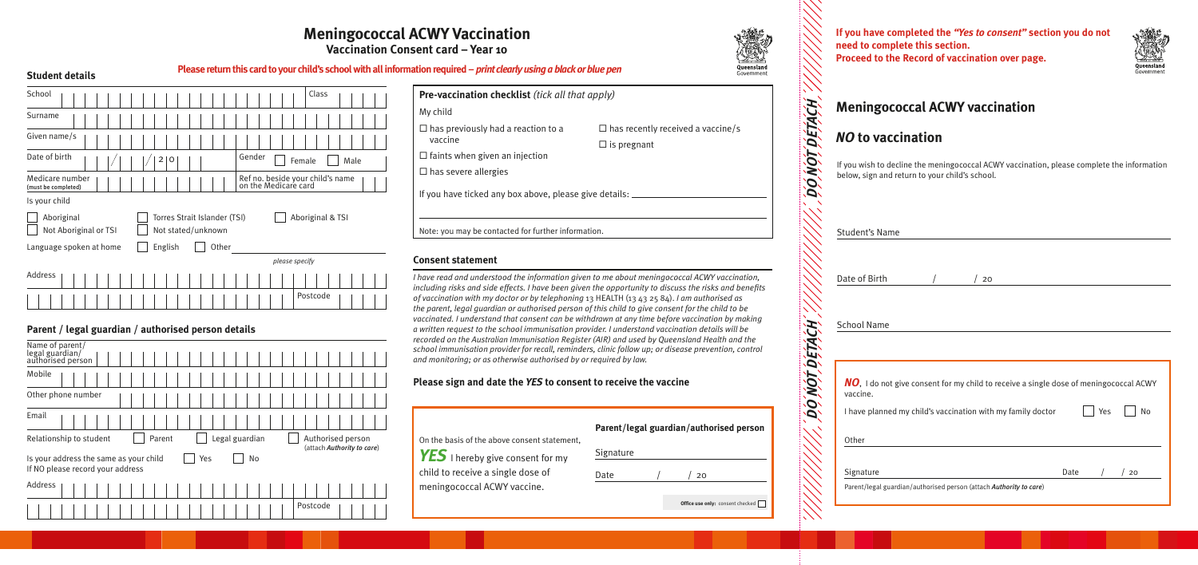| Pre-vaccination checklist (tick all that apply)                 |                                          |
|-----------------------------------------------------------------|------------------------------------------|
| My child                                                        |                                          |
| $\Box$ has previously had a reaction to a                       | $\Box$ has recently received a vaccine/s |
| vaccine                                                         | $\Box$ is pregnant                       |
| $\Box$ faints when given an injection                           |                                          |
| $\Box$ has severe allergies                                     |                                          |
| If you have ticked any box above, please give details: $\equiv$ |                                          |
|                                                                 |                                          |
| Note: you may be contacted for further information.             |                                          |

Postcode

### **Consent statement**

If you wish to decline the meningococcal ACWY vaccination, please complete the information low, sign and return to your child's school.

*I have read and understood the information given to me about meningococcal ACWY vaccination, including risks and side effects. I have been given the opportunity to discuss the risks and benefits of vaccination with my doctor or by telephoning* 13 HEALTH (13 43 25 84). *I am authorised as the parent, legal guardian or authorised person of this child to give consent for the child to be vaccinated. I understand that consent can be withdrawn at any time before vaccination by making a written request to the school immunisation provider. I understand vaccination details will be recorded on the Australian Immunisation Register (AIR) and used by Queensland Health and the school immunisation provider for recall, reminders, clinic follow up; or disease prevention, control and monitoring; or as otherwise authorised by or required by law.*

| <b>Student's Name</b>                                                                             |    |      |     |    |
|---------------------------------------------------------------------------------------------------|----|------|-----|----|
|                                                                                                   |    |      |     |    |
| Date of Birth                                                                                     | 20 |      |     |    |
| <b>School Name</b>                                                                                |    |      |     |    |
| NO, I do not give consent for my child to receive a single dose of meningococcal ACWY<br>vaccine. |    |      |     |    |
| I have planned my child's vaccination with my family doctor                                       |    |      | Yes | No |
| Other                                                                                             |    |      |     |    |
| Signature<br>Parent/legal guardian/authorised person (attach Authority to care)                   |    | Date |     | 20 |
|                                                                                                   |    |      |     |    |

### **Please sign and date the** *YES* **to consent to receive the vaccine**

## **Parent / legal guardian / authorised person details**

| Name of parent/<br>legal guardian/<br>authorised person                                 |                                                 |
|-----------------------------------------------------------------------------------------|-------------------------------------------------|
| Mobile                                                                                  |                                                 |
| Other phone number                                                                      |                                                 |
| Email                                                                                   |                                                 |
| Legal guardian<br>Relationship to student<br>Parent                                     | Authorised person<br>(attach Authority to care) |
| Is your address the same as your child<br>Yes<br>No<br>If NO please record your address |                                                 |
| Address                                                                                 |                                                 |
| Postcode                                                                                |                                                 |

# **Meningococcal ACWY Vaccination**

**Vaccination Consent card – Year 10**

| <b>Student details</b>                                                                                                                                                                                  | Please return this card to your child's school with all information required – print clearly using a black or blue pen                                                                                                   |
|---------------------------------------------------------------------------------------------------------------------------------------------------------------------------------------------------------|--------------------------------------------------------------------------------------------------------------------------------------------------------------------------------------------------------------------------|
| School<br>Class<br>Surname<br>Given name/s<br>Date of birth<br>Gender<br>0<br>2<br>Male<br>Female<br>Medicare number<br>Ref no. beside your child's name<br>on the Medicare card<br>(must be completed) | Pre-vaccination checklist (tick all that apply)<br>My child<br>$\Box$ has previously had a reaction to a<br>$\Box$ has<br>vaccine<br>$\Box$ is p<br>$\Box$ faints when given an injection<br>$\Box$ has severe allergies |
| Is your child<br>Aboriginal<br>Torres Strait Islander (TSI)<br>Aboriginal & TSI<br>Not Aboriginal or TSI<br>Not stated/unknown<br>English<br>Other<br>Language spoken at home<br>please specify         | If you have ticked any box above, please give detail:<br>Note: you may be contacted for further information.<br><b>Consent statement</b>                                                                                 |
| Address                                                                                                                                                                                                 | I have read and understood the information given to me ab<br>including risks and side effects. I have been given the oppo                                                                                                |

# **Meningococcal ACWY vaccination**

|                                              | Parer |
|----------------------------------------------|-------|
| On the basis of the above consent statement, |       |
| $\textbf{YES}$ I hereby give consent for my  | Signa |
| child to receive a single dose of            | Date  |
| meningococcal ACWY vaccine.                  |       |

| Parent/legal guardian/authorised person |
|-----------------------------------------|
| Signature                               |

| Me                       |
|--------------------------|
| ΝO                       |
| lf you<br>belov          |
| Stud                     |
| Date                     |
| Scho                     |
| NC<br>vac<br>l ha<br>Otł |
|                          |

mment

**Office use only:** consent checked

 $/20$ 

# *NO* **to vaccination**

**If you have completed the** *"Yes to consent"* **section you do not need to complete this section. Proceed to the Record of vaccination over page.**